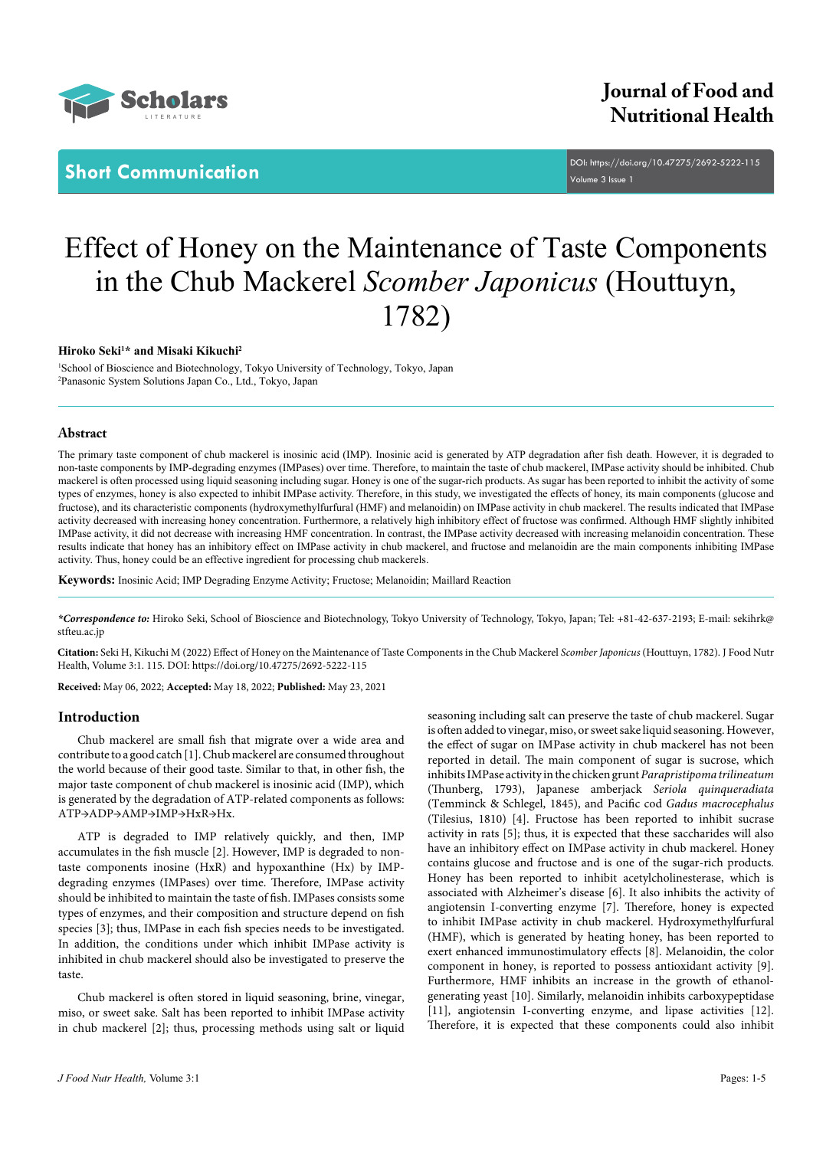

**Short Communication** <u>DOI[: https://doi.org/10.47275/2692-5222-1](https://doi.org/10.47275/2692-5222-115)15</u> Volume 3 Issue 1

# Effect of Honey on the Maintenance of Taste Components in the Chub Mackerel *Scomber Japonicus* (Houttuyn, 1782)

# **Hiroko Seki1 \* and Misaki Kikuchi2**

1 School of Bioscience and Biotechnology, Tokyo University of Technology, Tokyo, Japan 2 Panasonic System Solutions Japan Co., Ltd., Tokyo, Japan

# **Abstract**

The primary taste component of chub mackerel is inosinic acid (IMP). Inosinic acid is generated by ATP degradation after fish death. However, it is degraded to non-taste components by IMP-degrading enzymes (IMPases) over time. Therefore, to maintain the taste of chub mackerel, IMPase activity should be inhibited. Chub mackerel is often processed using liquid seasoning including sugar. Honey is one of the sugar-rich products. As sugar has been reported to inhibit the activity of some types of enzymes, honey is also expected to inhibit IMPase activity. Therefore, in this study, we investigated the effects of honey, its main components (glucose and fructose), and its characteristic components (hydroxymethylfurfural (HMF) and melanoidin) on IMPase activity in chub mackerel. The results indicated that IMPase activity decreased with increasing honey concentration. Furthermore, a relatively high inhibitory effect of fructose was confirmed. Although HMF slightly inhibited IMPase activity, it did not decrease with increasing HMF concentration. In contrast, the IMPase activity decreased with increasing melanoidin concentration. These results indicate that honey has an inhibitory effect on IMPase activity in chub mackerel, and fructose and melanoidin are the main components inhibiting IMPase activity. Thus, honey could be an effective ingredient for processing chub mackerels.

**Keywords:** Inosinic Acid; IMP Degrading Enzyme Activity; Fructose; Melanoidin; Maillard Reaction

*\*Correspondence to:* Hiroko Seki, School of Bioscience and Biotechnology, Tokyo University of Technology, Tokyo, Japan; Tel: +81-42-637-2193; E-mail: sekihrk@ stfteu.ac.jp

**Citation:** Seki H, Kikuchi M (2022) Effect of Honey on the Maintenance of Taste Components in the Chub Mackerel *Scomber Japonicus* (Houttuyn, 1782). J Food Nutr Health, Volume 3:1. 115. DOI: [https://doi.org/10.47275/2692-5222-11](https://doi.org/10.47275/2692-5222-115)5

**Received:** May 06, 2022; **Accepted:** May 18, 2022; **Published:** May 23, 2021

# **Introduction**

Chub mackerel are small fish that migrate over a wide area and contribute to a good catch [1]. Chub mackerel are consumed throughout the world because of their good taste. Similar to that, in other fish, the major taste component of chub mackerel is inosinic acid (IMP), which is generated by the degradation of ATP-related components as follows: ATP→ADP→AMP→IMP→HxR→Hx.

ATP is degraded to IMP relatively quickly, and then, IMP accumulates in the fish muscle [2]. However, IMP is degraded to nontaste components inosine (HxR) and hypoxanthine (Hx) by IMPdegrading enzymes (IMPases) over time. Therefore, IMPase activity should be inhibited to maintain the taste of fish. IMPases consists some types of enzymes, and their composition and structure depend on fish species [3]; thus, IMPase in each fish species needs to be investigated. In addition, the conditions under which inhibit IMPase activity is inhibited in chub mackerel should also be investigated to preserve the taste.

Chub mackerel is often stored in liquid seasoning, brine, vinegar, miso, or sweet sake. Salt has been reported to inhibit IMPase activity in chub mackerel [2]; thus, processing methods using salt or liquid

seasoning including salt can preserve the taste of chub mackerel. Sugar is often added to vinegar, miso, or sweet sake liquid seasoning. However, the effect of sugar on IMPase activity in chub mackerel has not been reported in detail. The main component of sugar is sucrose, which inhibits IMPase activity in the chicken grunt *Parapristipoma trilineatum* (Thunberg, 1793), Japanese amberjack *Seriola quinqueradiata* (Temminck & Schlegel, 1845), and Pacific cod *Gadus macrocephalus* (Tilesius, 1810) [4]. Fructose has been reported to inhibit sucrase activity in rats [5]; thus, it is expected that these saccharides will also have an inhibitory effect on IMPase activity in chub mackerel. Honey contains glucose and fructose and is one of the sugar-rich products. Honey has been reported to inhibit acetylcholinesterase, which is associated with Alzheimer's disease [6]. It also inhibits the activity of angiotensin I-converting enzyme [7]. Therefore, honey is expected to inhibit IMPase activity in chub mackerel. Hydroxymethylfurfural (HMF), which is generated by heating honey, has been reported to exert enhanced immunostimulatory effects [8]. Melanoidin, the color component in honey, is reported to possess antioxidant activity [9]. Furthermore, HMF inhibits an increase in the growth of ethanolgenerating yeast [10]. Similarly, melanoidin inhibits carboxypeptidase [11], angiotensin I-converting enzyme, and lipase activities [12]. Therefore, it is expected that these components could also inhibit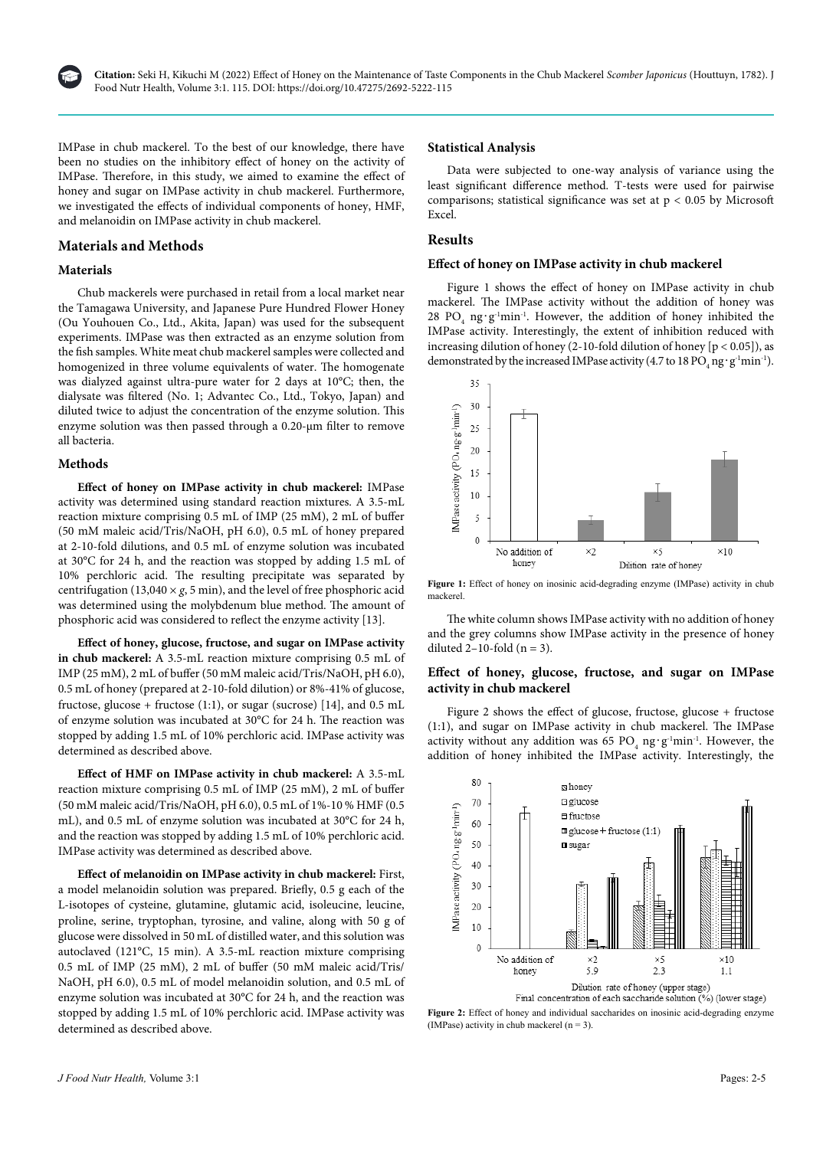

IMPase in chub mackerel. To the best of our knowledge, there have been no studies on the inhibitory effect of honey on the activity of IMPase. Therefore, in this study, we aimed to examine the effect of honey and sugar on IMPase activity in chub mackerel. Furthermore, we investigated the effects of individual components of honey, HMF, and melanoidin on IMPase activity in chub mackerel.

# **Materials and Methods**

# **Materials**

Chub mackerels were purchased in retail from a local market near the Tamagawa University, and Japanese Pure Hundred Flower Honey (Ou Youhouen Co., Ltd., Akita, Japan) was used for the subsequent experiments. IMPase was then extracted as an enzyme solution from the fish samples. White meat chub mackerel samples were collected and homogenized in three volume equivalents of water. The homogenate was dialyzed against ultra-pure water for 2 days at 10°C; then, the dialysate was filtered (No. 1; Advantec Co., Ltd., Tokyo, Japan) and diluted twice to adjust the concentration of the enzyme solution. This enzyme solution was then passed through a 0.20-µm filter to remove all bacteria.

# **Methods**

**Effect of honey on IMPase activity in chub mackerel:** IMPase activity was determined using standard reaction mixtures. A 3.5-mL reaction mixture comprising 0.5 mL of IMP (25 mM), 2 mL of buffer (50 mM maleic acid/Tris/NaOH, pH 6.0), 0.5 mL of honey prepared at 2-10-fold dilutions, and 0.5 mL of enzyme solution was incubated at 30°C for 24 h, and the reaction was stopped by adding 1.5 mL of 10% perchloric acid. The resulting precipitate was separated by centrifugation (13,040  $\times$  *g*, 5 min), and the level of free phosphoric acid was determined using the molybdenum blue method. The amount of phosphoric acid was considered to reflect the enzyme activity [13].

**Effect of honey, glucose, fructose, and sugar on IMPase activity in chub mackerel:** A 3.5-mL reaction mixture comprising 0.5 mL of IMP (25 mM), 2 mL of buffer (50 mM maleic acid/Tris/NaOH, pH 6.0), 0.5 mL of honey (prepared at 2-10-fold dilution) or 8%-41% of glucose, fructose, glucose + fructose (1:1), or sugar (sucrose) [14], and 0.5 mL of enzyme solution was incubated at 30°C for 24 h. The reaction was stopped by adding 1.5 mL of 10% perchloric acid. IMPase activity was determined as described above.

**Effect of HMF on IMPase activity in chub mackerel:** A 3.5-mL reaction mixture comprising 0.5 mL of IMP (25 mM), 2 mL of buffer (50 mM maleic acid/Tris/NaOH, pH 6.0), 0.5 mL of 1%-10 % HMF (0.5 mL), and 0.5 mL of enzyme solution was incubated at 30°C for 24 h, and the reaction was stopped by adding 1.5 mL of 10% perchloric acid. IMPase activity was determined as described above.

**Effect of melanoidin on IMPase activity in chub mackerel:** First, a model melanoidin solution was prepared. Briefly, 0.5 g each of the L-isotopes of cysteine, glutamine, glutamic acid, isoleucine, leucine, proline, serine, tryptophan, tyrosine, and valine, along with 50 g of glucose were dissolved in 50 mL of distilled water, and this solution was autoclaved (121°C, 15 min). A 3.5-mL reaction mixture comprising 0.5 mL of IMP (25 mM), 2 mL of buffer (50 mM maleic acid/Tris/ NaOH, pH 6.0), 0.5 mL of model melanoidin solution, and 0.5 mL of enzyme solution was incubated at 30°C for 24 h, and the reaction was stopped by adding 1.5 mL of 10% perchloric acid. IMPase activity was determined as described above.

#### **Statistical Analysis**

Data were subjected to one-way analysis of variance using the least significant difference method. T-tests were used for pairwise comparisons; statistical significance was set at  $p < 0.05$  by Microsoft Excel.

### **Results**

# **Effect of honey on IMPase activity in chub mackerel**

Figure 1 shows the effect of honey on IMPase activity in chub mackerel. The IMPase activity without the addition of honey was 28 PO<sub>4</sub> ng·g<sup>-1</sup>min<sup>-1</sup>. However, the addition of honey inhibited the IMPase activity. Interestingly, the extent of inhibition reduced with increasing dilution of honey (2-10-fold dilution of honey [p < 0.05]), as demonstrated by the increased IMPase activity (4.7 to 18  $\mathrm{PO}_4\,\mathrm{ng}\cdot\mathrm{g}^{\text{-1}}\mathrm{min}^{\text{-1}}$ ).





The white column shows IMPase activity with no addition of honey and the grey columns show IMPase activity in the presence of honey diluted  $2-10$ -fold (n = 3).

# **Effect of honey, glucose, fructose, and sugar on IMPase activity in chub mackerel**

Figure 2 shows the effect of glucose, fructose, glucose + fructose (1:1), and sugar on IMPase activity in chub mackerel. The IMPase activity without any addition was 65  $\text{PO}_4$ ng $\cdot \text{g}^{-1}$ min<sup>-1</sup>. However, the addition of honey inhibited the IMPase activity. Interestingly, the



Figure 2: Effect of honey and individual saccharides on inosinic acid-degrading enzyme (IMPase) activity in chub mackerel  $(n = 3)$ .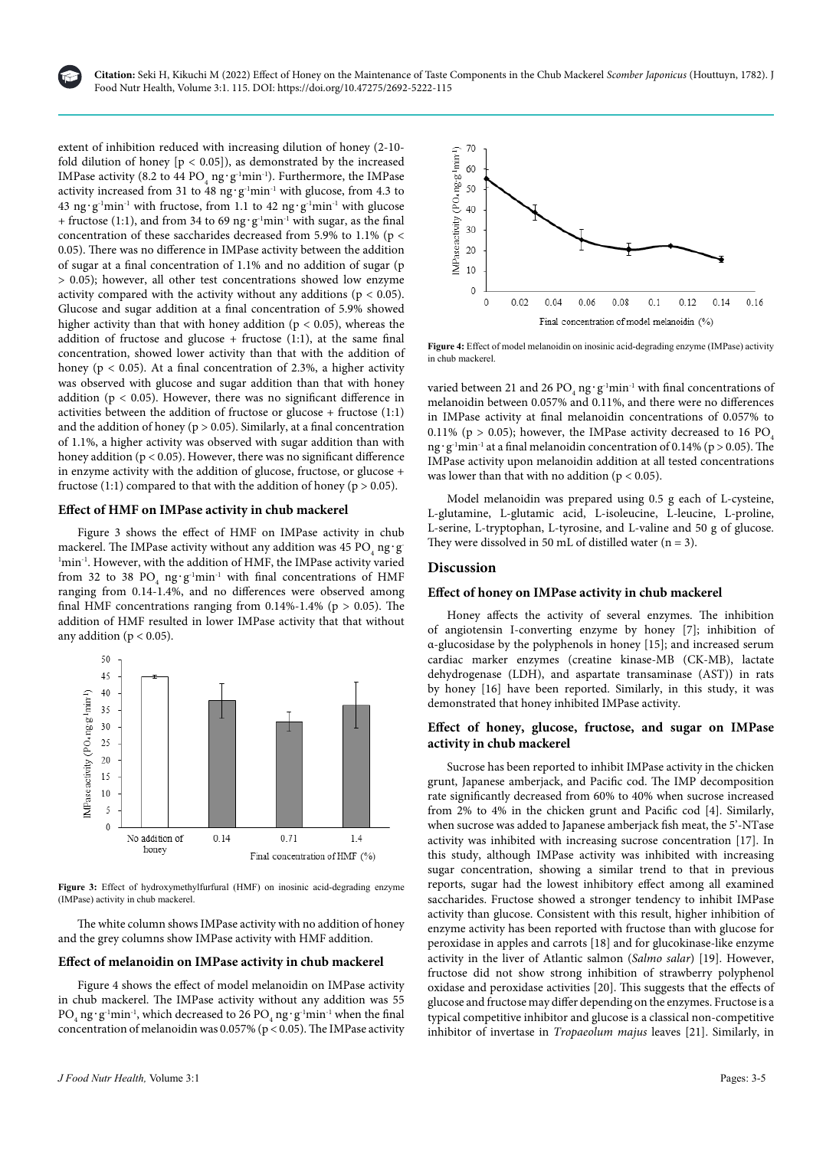

**Citation:** Seki H, Kikuchi M (2022) Effect of Honey on the Maintenance of Taste Components in the Chub Mackerel *Scomber Japonicus* (Houttuyn, 1782). J Food Nutr Health, Volume 3:1. 115. DOI: [https://doi.org/10.47275/2692-5222-1](https://doi.org/10.47275/2692-5222-115)15

extent of inhibition reduced with increasing dilution of honey (2-10 fold dilution of honey  $[p < 0.05]$ , as demonstrated by the increased IMPase activity (8.2 to 44  ${\rm PO}_4$ ng $\cdot$ g<sup>-1</sup>min<sup>-1</sup>). Furthermore, the IMPase activity increased from 31 to 48 ng $\cdot$ g<sup>-1</sup>min<sup>-1</sup> with glucose, from 4.3 to 43 ng⋅g<sup>-1</sup>min<sup>-1</sup> with fructose, from 1.1 to 42 ng⋅g<sup>-1</sup>min<sup>-1</sup> with glucose + fructose (1:1), and from 34 to 69 ng⋅g<sup>-1</sup>min<sup>-1</sup> with sugar, as the final concentration of these saccharides decreased from 5.9% to 1.1% (p < 0.05). There was no difference in IMPase activity between the addition of sugar at a final concentration of 1.1% and no addition of sugar (p > 0.05); however, all other test concentrations showed low enzyme activity compared with the activity without any additions ( $p < 0.05$ ). Glucose and sugar addition at a final concentration of 5.9% showed higher activity than that with honey addition ( $p < 0.05$ ), whereas the addition of fructose and glucose + fructose  $(1:1)$ , at the same final concentration, showed lower activity than that with the addition of honey ( $p < 0.05$ ). At a final concentration of 2.3%, a higher activity was observed with glucose and sugar addition than that with honey addition ( $p < 0.05$ ). However, there was no significant difference in activities between the addition of fructose or glucose + fructose  $(1:1)$ and the addition of honey ( $p > 0.05$ ). Similarly, at a final concentration of 1.1%, a higher activity was observed with sugar addition than with honey addition ( $p < 0.05$ ). However, there was no significant difference in enzyme activity with the addition of glucose, fructose, or glucose + fructose (1:1) compared to that with the addition of honey ( $p > 0.05$ ).

### **Effect of HMF on IMPase activity in chub mackerel**

Figure 3 shows the effect of HMF on IMPase activity in chub mackerel. The IMPase activity without any addition was 45  $\mathrm{PO}_{_4}\,\mathrm{ng}\cdot\mathrm{g}$ <sup>1</sup>min<sup>-1</sup>. However, with the addition of HMF, the IMPase activity varied from 32 to 38  $PO_4$  ng $·g^{-1}$ min<sup>-1</sup> with final concentrations of HMF ranging from 0.14-1.4%, and no differences were observed among final HMF concentrations ranging from  $0.14\%$ -1.4% (p > 0.05). The addition of HMF resulted in lower IMPase activity that that without any addition ( $p < 0.05$ ).



**Figure 3:** Effect of hydroxymethylfurfural (HMF) on inosinic acid-degrading enzyme (IMPase) activity in chub mackerel.

The white column shows IMPase activity with no addition of honey and the grey columns show IMPase activity with HMF addition.

# **Effect of melanoidin on IMPase activity in chub mackerel**

Figure 4 shows the effect of model melanoidin on IMPase activity in chub mackerel. The IMPase activity without any addition was 55  $\rm PO_{_4}$ ng $\cdot$ g $^{-1}$ min $^{-1}$  which decreased to 26  $\rm PO_{_4}$ ng $\cdot$ g $^{-1}$ min $^{-1}$  when the final concentration of melanoidin was  $0.057\%$  (p < 0.05). The IMPase activity



**Figure 4:** Effect of model melanoidin on inosinic acid-degrading enzyme (IMPase) activity in chub mackerel.

varied between 21 and 26  ${\rm PO}_4$ ng $\cdot{\rm g}^{-1}{\rm min}^{-1}$  with final concentrations of melanoidin between 0.057% and 0.11%, and there were no differences in IMPase activity at final melanoidin concentrations of 0.057% to 0.11% ( $p > 0.05$ ); however, the IMPase activity decreased to 16 PO<sub>4</sub> ng·g<sup>-1</sup>min<sup>-1</sup> at a final melanoidin concentration of 0.14% (p > 0.05). The IMPase activity upon melanoidin addition at all tested concentrations was lower than that with no addition ( $p < 0.05$ ).

Model melanoidin was prepared using 0.5 g each of L-cysteine, L-glutamine, L-glutamic acid, L-isoleucine, L-leucine, L-proline, L-serine, L-tryptophan, L-tyrosine, and L-valine and 50 g of glucose. They were dissolved in 50 mL of distilled water  $(n = 3)$ .

# **Discussion**

#### **Effect of honey on IMPase activity in chub mackerel**

Honey affects the activity of several enzymes. The inhibition of angiotensin I-converting enzyme by honey [7]; inhibition of α-glucosidase by the polyphenols in honey [15]; and increased serum cardiac marker enzymes (creatine kinase-MB (CK-MB), lactate dehydrogenase (LDH), and aspartate transaminase (AST)) in rats by honey [16] have been reported. Similarly, in this study, it was demonstrated that honey inhibited IMPase activity.

# **Effect of honey, glucose, fructose, and sugar on IMPase activity in chub mackerel**

Sucrose has been reported to inhibit IMPase activity in the chicken grunt, Japanese amberjack, and Pacific cod. The IMP decomposition rate significantly decreased from 60% to 40% when sucrose increased from 2% to 4% in the chicken grunt and Pacific cod [4]. Similarly, when sucrose was added to Japanese amberjack fish meat, the 5'-NTase activity was inhibited with increasing sucrose concentration [17]. In this study, although IMPase activity was inhibited with increasing sugar concentration, showing a similar trend to that in previous reports, sugar had the lowest inhibitory effect among all examined saccharides. Fructose showed a stronger tendency to inhibit IMPase activity than glucose. Consistent with this result, higher inhibition of enzyme activity has been reported with fructose than with glucose for peroxidase in apples and carrots [18] and for glucokinase-like enzyme activity in the liver of Atlantic salmon (*Salmo salar*) [19]. However, fructose did not show strong inhibition of strawberry polyphenol oxidase and peroxidase activities [20]. This suggests that the effects of glucose and fructose may differ depending on the enzymes. Fructose is a typical competitive inhibitor and glucose is a classical non-competitive inhibitor of invertase in *Tropaeolum majus* leaves [21]. Similarly, in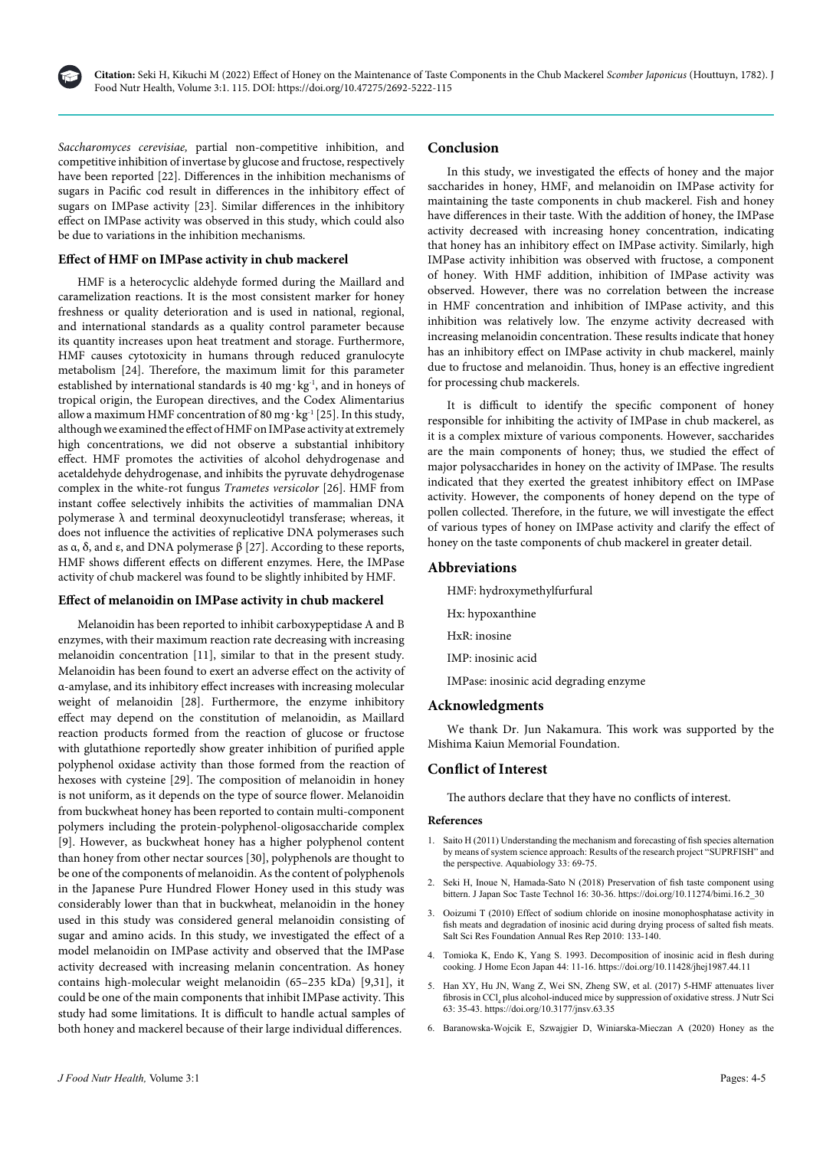

*Saccharomyces cerevisiae,* partial non-competitive inhibition, and competitive inhibition of invertase by glucose and fructose, respectively have been reported [22]. Differences in the inhibition mechanisms of sugars in Pacific cod result in differences in the inhibitory effect of sugars on IMPase activity [23]. Similar differences in the inhibitory effect on IMPase activity was observed in this study, which could also be due to variations in the inhibition mechanisms.

# **Effect of HMF on IMPase activity in chub mackerel**

HMF is a heterocyclic aldehyde formed during the Maillard and caramelization reactions. It is the most consistent marker for honey freshness or quality deterioration and is used in national, regional, and international standards as a quality control parameter because its quantity increases upon heat treatment and storage. Furthermore, HMF causes cytotoxicity in humans through reduced granulocyte metabolism [24]. Therefore, the maximum limit for this parameter established by international standards is 40 mg·kg<sup>-1</sup>, and in honeys of tropical origin, the European directives, and the Codex Alimentarius allow a maximum HMF concentration of 80 mg·kg<sup>-1</sup> [25]. In this study, although we examined the effect of HMF on IMPase activity at extremely high concentrations, we did not observe a substantial inhibitory effect. HMF promotes the activities of alcohol dehydrogenase and acetaldehyde dehydrogenase, and inhibits the pyruvate dehydrogenase complex in the white-rot fungus *Trametes versicolor* [26]. HMF from instant coffee selectively inhibits the activities of mammalian DNA polymerase  $\lambda$  and terminal deoxynucleotidyl transferase; whereas, it does not influence the activities of replicative DNA polymerases such as  $\alpha$ ,  $\delta$ , and  $\epsilon$ , and DNA polymerase  $\beta$  [27]. According to these reports, HMF shows different effects on different enzymes. Here, the IMPase activity of chub mackerel was found to be slightly inhibited by HMF.

# **Effect of melanoidin on IMPase activity in chub mackerel**

Melanoidin has been reported to inhibit carboxypeptidase A and B enzymes, with their maximum reaction rate decreasing with increasing melanoidin concentration [11], similar to that in the present study. Melanoidin has been found to exert an adverse effect on the activity of α-amylase, and its inhibitory effect increases with increasing molecular weight of melanoidin [28]. Furthermore, the enzyme inhibitory effect may depend on the constitution of melanoidin, as Maillard reaction products formed from the reaction of glucose or fructose with glutathione reportedly show greater inhibition of purified apple polyphenol oxidase activity than those formed from the reaction of hexoses with cysteine [29]. The composition of melanoidin in honey is not uniform, as it depends on the type of source flower. Melanoidin from buckwheat honey has been reported to contain multi-component polymers including the protein-polyphenol-oligosaccharide complex [9]. However, as buckwheat honey has a higher polyphenol content than honey from other nectar sources [30], polyphenols are thought to be one of the components of melanoidin. As the content of polyphenols in the Japanese Pure Hundred Flower Honey used in this study was considerably lower than that in buckwheat, melanoidin in the honey used in this study was considered general melanoidin consisting of sugar and amino acids. In this study, we investigated the effect of a model melanoidin on IMPase activity and observed that the IMPase activity decreased with increasing melanin concentration. As honey contains high-molecular weight melanoidin (65–235 kDa) [9,31], it could be one of the main components that inhibit IMPase activity. This study had some limitations. It is difficult to handle actual samples of both honey and mackerel because of their large individual differences.

# **Conclusion**

In this study, we investigated the effects of honey and the major saccharides in honey, HMF, and melanoidin on IMPase activity for maintaining the taste components in chub mackerel. Fish and honey have differences in their taste. With the addition of honey, the IMPase activity decreased with increasing honey concentration, indicating that honey has an inhibitory effect on IMPase activity. Similarly, high IMPase activity inhibition was observed with fructose, a component of honey. With HMF addition, inhibition of IMPase activity was observed. However, there was no correlation between the increase in HMF concentration and inhibition of IMPase activity, and this inhibition was relatively low. The enzyme activity decreased with increasing melanoidin concentration. These results indicate that honey has an inhibitory effect on IMPase activity in chub mackerel, mainly due to fructose and melanoidin. Thus, honey is an effective ingredient for processing chub mackerels.

It is difficult to identify the specific component of honey responsible for inhibiting the activity of IMPase in chub mackerel, as it is a complex mixture of various components. However, saccharides are the main components of honey; thus, we studied the effect of major polysaccharides in honey on the activity of IMPase. The results indicated that they exerted the greatest inhibitory effect on IMPase activity. However, the components of honey depend on the type of pollen collected. Therefore, in the future, we will investigate the effect of various types of honey on IMPase activity and clarify the effect of honey on the taste components of chub mackerel in greater detail.

# **Abbreviations**

HMF: hydroxymethylfurfural

- Hx: hypoxanthine
- HxR: inosine
- IMP: inosinic acid

IMPase: inosinic acid degrading enzyme

# **Acknowledgments**

We thank Dr. Jun Nakamura. This work was supported by the Mishima Kaiun Memorial Foundation.

# **Conflict of Interest**

The authors declare that they have no conflicts of interest.

### **References**

- 1. Saito H (2011) Understanding the mechanism and forecasting of fish species alternation by means of system science approach: Results of the research project "SUPRFISH" and the perspective. Aquabiology 33: 69-75.
- 2. [Seki H, Inoue N, Hamada-Sato N \(2018\) Preservation of fish taste component using](Seki H, Inoue N, Hamada-Sato N (2018) Preservation of fish taste component using bittern. J Japan Soc Taste Technol 16: 30-36.)  [bittern. J Japan Soc Taste Technol 16: 30-36.](Seki H, Inoue N, Hamada-Sato N (2018) Preservation of fish taste component using bittern. J Japan Soc Taste Technol 16: 30-36.) [https://doi.org/10.11274/bimi.16.2\\_30](https://doi.org/10.11274/bimi.16.2_30)
- 3. [Ooizumi T \(2010\) Effect of sodium chloride on inosine monophosphatase activity in](https://www.saltscience.or.jp/general_research/2010/201042.pdf)  [fish meats and degradation of inosinic acid during drying process of salted fish meats.](https://www.saltscience.or.jp/general_research/2010/201042.pdf)  [Salt Sci Res Foundation Annual Res Rep 2010: 133-140.](https://www.saltscience.or.jp/general_research/2010/201042.pdf)
- 4. [Tomioka K, Endo K, Yang S. 1993. Decomposition of inosinic acid in flesh during](https://www.jstage.jst.go.jp/article/jhej1987/44/1/44_1_11/_article/-char/ja/)  [cooking. J Home Econ Japan 44: 11-16.](https://www.jstage.jst.go.jp/article/jhej1987/44/1/44_1_11/_article/-char/ja/) <https://doi.org/10.11428/jhej1987.44.11>
- 5. [Han XY, Hu JN, Wang Z, Wei SN, Zheng SW, et al. \(2017\) 5-HMF attenuates liver](https://www.jstage.jst.go.jp/article/jnsv/63/1/63_35/_article/-char/ja/)  fibrosis in CCl<sub>4</sub> plus alcohol-induced mice by suppression of oxidative stress. J Nutr Sci [63: 35-43.](https://www.jstage.jst.go.jp/article/jnsv/63/1/63_35/_article/-char/ja/) [https://doi.org/10.3177/jnsv.63.35](77/jnsv.63.35)
- 6. [Baranowska-Wojcik E, Szwajgier D, Winiarska-Mieczan A \(2020\) Honey as the](https://link.springer.com/article/10.1007/s11130-019-00791-1)